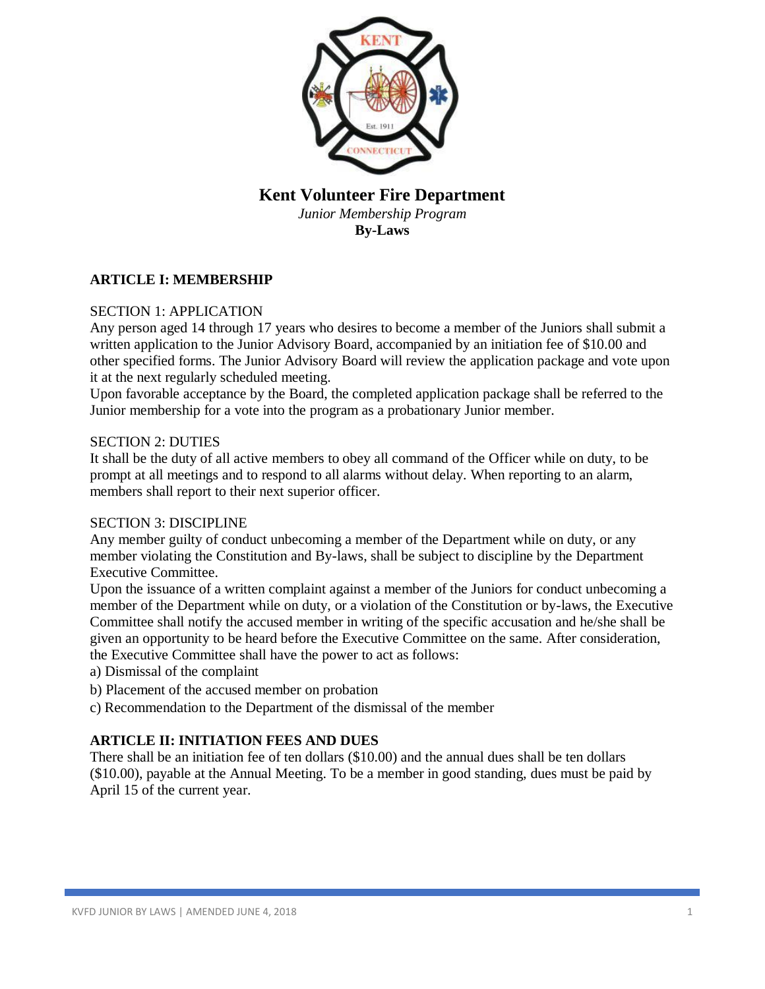

# **Kent Volunteer Fire Department**

*Junior Membership Program* **By-Laws**

# **ARTICLE I: MEMBERSHIP**

# SECTION 1: APPLICATION

Any person aged 14 through 17 years who desires to become a member of the Juniors shall submit a written application to the Junior Advisory Board, accompanied by an initiation fee of \$10.00 and other specified forms. The Junior Advisory Board will review the application package and vote upon it at the next regularly scheduled meeting.

Upon favorable acceptance by the Board, the completed application package shall be referred to the Junior membership for a vote into the program as a probationary Junior member.

#### SECTION 2: DUTIES

It shall be the duty of all active members to obey all command of the Officer while on duty, to be prompt at all meetings and to respond to all alarms without delay. When reporting to an alarm, members shall report to their next superior officer.

#### SECTION 3: DISCIPLINE

Any member guilty of conduct unbecoming a member of the Department while on duty, or any member violating the Constitution and By-laws, shall be subject to discipline by the Department Executive Committee.

Upon the issuance of a written complaint against a member of the Juniors for conduct unbecoming a member of the Department while on duty, or a violation of the Constitution or by-laws, the Executive Committee shall notify the accused member in writing of the specific accusation and he/she shall be given an opportunity to be heard before the Executive Committee on the same. After consideration, the Executive Committee shall have the power to act as follows:

a) Dismissal of the complaint

- b) Placement of the accused member on probation
- c) Recommendation to the Department of the dismissal of the member

# **ARTICLE II: INITIATION FEES AND DUES**

There shall be an initiation fee of ten dollars (\$10.00) and the annual dues shall be ten dollars (\$10.00), payable at the Annual Meeting. To be a member in good standing, dues must be paid by April 15 of the current year.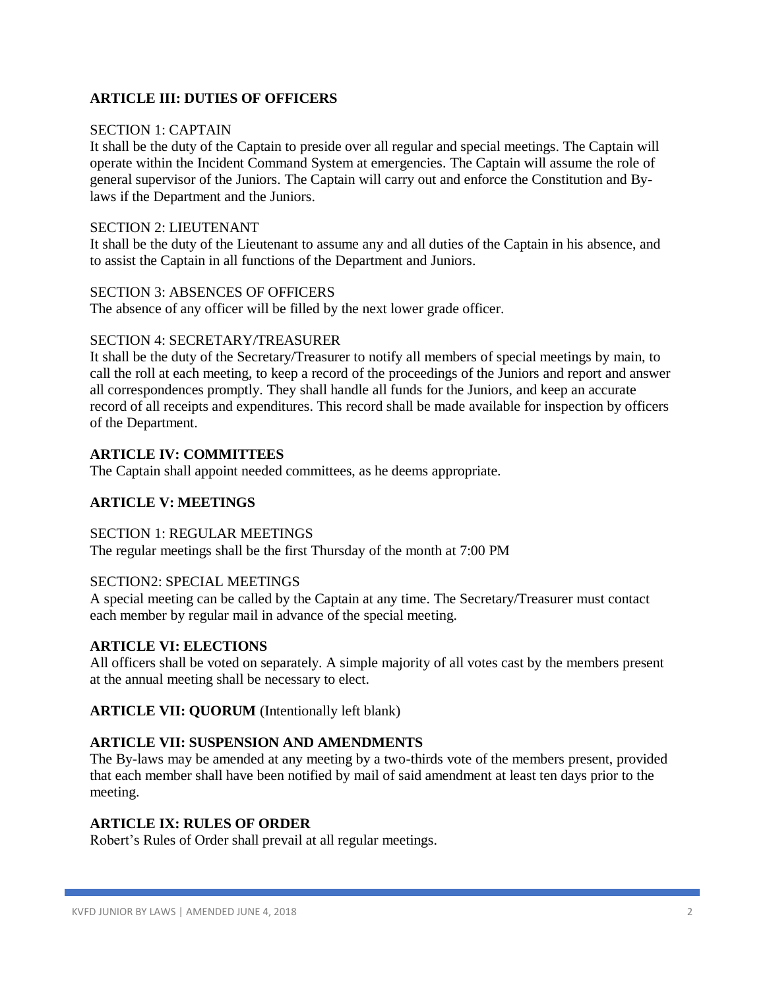# **ARTICLE III: DUTIES OF OFFICERS**

#### SECTION 1: CAPTAIN

It shall be the duty of the Captain to preside over all regular and special meetings. The Captain will operate within the Incident Command System at emergencies. The Captain will assume the role of general supervisor of the Juniors. The Captain will carry out and enforce the Constitution and Bylaws if the Department and the Juniors.

#### SECTION 2: LIEUTENANT

It shall be the duty of the Lieutenant to assume any and all duties of the Captain in his absence, and to assist the Captain in all functions of the Department and Juniors.

#### SECTION 3: ABSENCES OF OFFICERS

The absence of any officer will be filled by the next lower grade officer.

#### SECTION 4: SECRETARY/TREASURER

It shall be the duty of the Secretary/Treasurer to notify all members of special meetings by main, to call the roll at each meeting, to keep a record of the proceedings of the Juniors and report and answer all correspondences promptly. They shall handle all funds for the Juniors, and keep an accurate record of all receipts and expenditures. This record shall be made available for inspection by officers of the Department.

### **ARTICLE IV: COMMITTEES**

The Captain shall appoint needed committees, as he deems appropriate.

# **ARTICLE V: MEETINGS**

#### SECTION 1: REGULAR MEETINGS

The regular meetings shall be the first Thursday of the month at 7:00 PM

#### SECTION2: SPECIAL MEETINGS

A special meeting can be called by the Captain at any time. The Secretary/Treasurer must contact each member by regular mail in advance of the special meeting.

# **ARTICLE VI: ELECTIONS**

All officers shall be voted on separately. A simple majority of all votes cast by the members present at the annual meeting shall be necessary to elect.

#### **ARTICLE VII: QUORUM** (Intentionally left blank)

# **ARTICLE VII: SUSPENSION AND AMENDMENTS**

The By-laws may be amended at any meeting by a two-thirds vote of the members present, provided that each member shall have been notified by mail of said amendment at least ten days prior to the meeting.

# **ARTICLE IX: RULES OF ORDER**

Robert's Rules of Order shall prevail at all regular meetings.